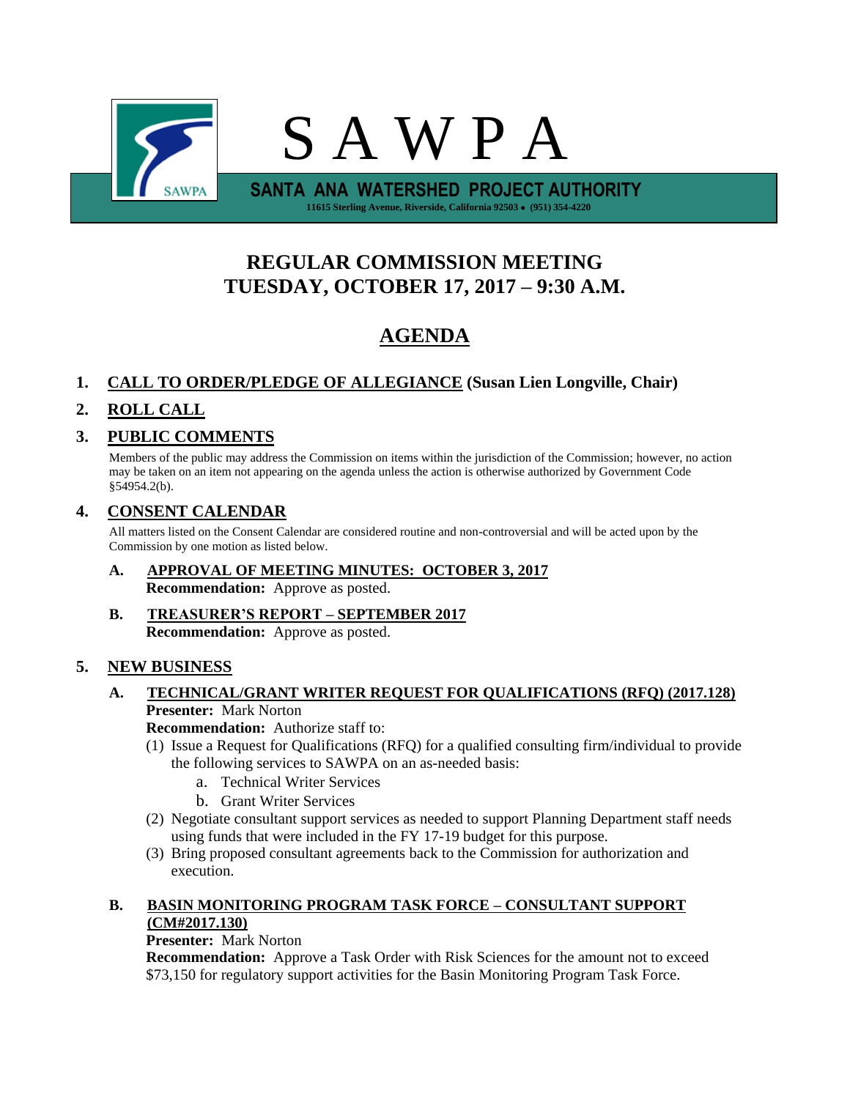

# **REGULAR COMMISSION MEETING TUESDAY, OCTOBER 17, 2017 – 9:30 A.M.**

# **AGENDA**

# **1. CALL TO ORDER/PLEDGE OF ALLEGIANCE (Susan Lien Longville, Chair)**

# **2. ROLL CALL**

# **3. PUBLIC COMMENTS**

Members of the public may address the Commission on items within the jurisdiction of the Commission; however, no action may be taken on an item not appearing on the agenda unless the action is otherwise authorized by Government Code §54954.2(b).

# **4. CONSENT CALENDAR**

All matters listed on the Consent Calendar are considered routine and non-controversial and will be acted upon by the Commission by one motion as listed below.

- **A. APPROVAL OF MEETING MINUTES: OCTOBER 3, 2017 Recommendation:** Approve as posted.
- **B. TREASURER'S REPORT – SEPTEMBER 2017 Recommendation:** Approve as posted.

# **5. NEW BUSINESS**

# **A. TECHNICAL/GRANT WRITER REQUEST FOR QUALIFICATIONS (RFQ) (2017.128) Presenter:** Mark Norton

**Recommendation:** Authorize staff to:

- (1) Issue a Request for Qualifications (RFQ) for a qualified consulting firm/individual to provide the following services to SAWPA on an as-needed basis:
	- a. Technical Writer Services
	- b. Grant Writer Services
- (2) Negotiate consultant support services as needed to support Planning Department staff needs using funds that were included in the FY 17-19 budget for this purpose.
- (3) Bring proposed consultant agreements back to the Commission for authorization and execution.

## **B. BASIN MONITORING PROGRAM TASK FORCE – CONSULTANT SUPPORT (CM#2017.130)**

# **Presenter:** Mark Norton

**Recommendation:** Approve a Task Order with Risk Sciences for the amount not to exceed \$73,150 for regulatory support activities for the Basin Monitoring Program Task Force.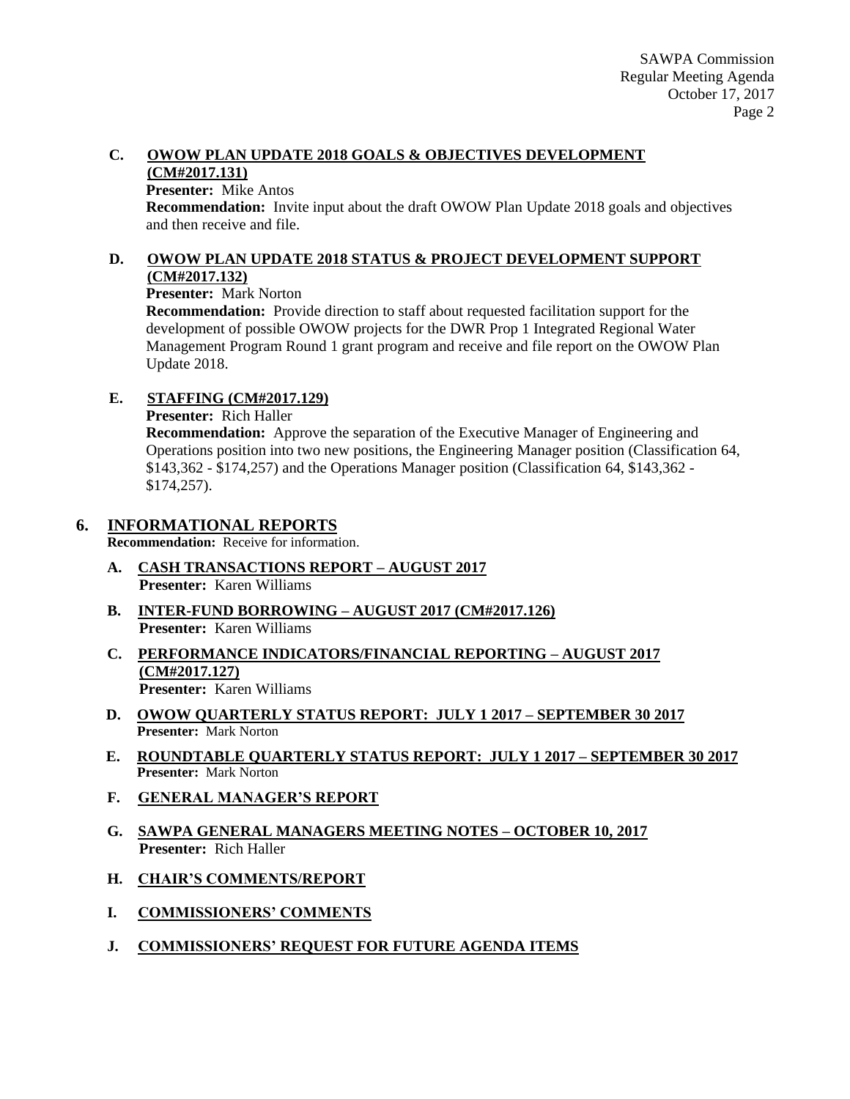#### **C. OWOW PLAN UPDATE 2018 GOALS & OBJECTIVES DEVELOPMENT (CM#2017.131)**

#### **Presenter:** Mike Antos

**Recommendation:** Invite input about the draft OWOW Plan Update 2018 goals and objectives and then receive and file.

### **D. OWOW PLAN UPDATE 2018 STATUS & PROJECT DEVELOPMENT SUPPORT (CM#2017.132)**

#### **Presenter:** Mark Norton

**Recommendation:** Provide direction to staff about requested facilitation support for the development of possible OWOW projects for the DWR Prop 1 Integrated Regional Water Management Program Round 1 grant program and receive and file report on the OWOW Plan Update 2018.

## **E. STAFFING (CM#2017.129)**

**Presenter:** Rich Haller

**Recommendation:** Approve the separation of the Executive Manager of Engineering and Operations position into two new positions, the Engineering Manager position (Classification 64, \$143,362 - \$174,257) and the Operations Manager position (Classification 64, \$143,362 - \$174,257).

## **6. INFORMATIONAL REPORTS**

**Recommendation:** Receive for information.

- **A. CASH TRANSACTIONS REPORT – AUGUST 2017 Presenter:** Karen Williams
- **B. INTER-FUND BORROWING – AUGUST 2017 (CM#2017.126) Presenter:** Karen Williams
- **C. PERFORMANCE INDICATORS/FINANCIAL REPORTING – AUGUST 2017 (CM#2017.127) Presenter:** Karen Williams
- **D. OWOW QUARTERLY STATUS REPORT: JULY 1 2017 – SEPTEMBER 30 2017 Presenter:** Mark Norton
- **E. ROUNDTABLE QUARTERLY STATUS REPORT: JULY 1 2017 – SEPTEMBER 30 2017 Presenter:** Mark Norton
- **F. GENERAL MANAGER'S REPORT**
- **G. SAWPA GENERAL MANAGERS MEETING NOTES – OCTOBER 10, 2017 Presenter:** Rich Haller
- **H. CHAIR'S COMMENTS/REPORT**
- **I. COMMISSIONERS' COMMENTS**
- **J. COMMISSIONERS' REQUEST FOR FUTURE AGENDA ITEMS**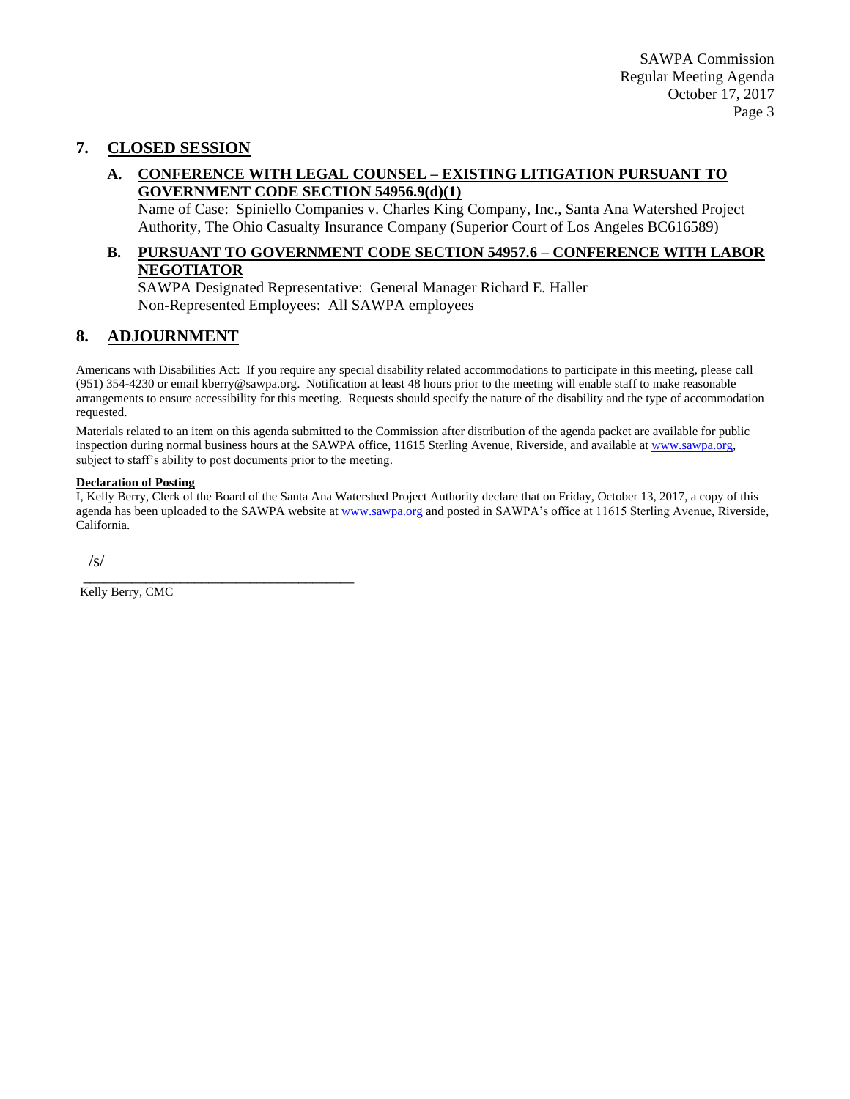## **7. CLOSED SESSION**

#### **A. CONFERENCE WITH LEGAL COUNSEL – EXISTING LITIGATION PURSUANT TO GOVERNMENT CODE SECTION 54956.9(d)(1)**

Name of Case: Spiniello Companies v. Charles King Company, Inc., Santa Ana Watershed Project Authority, The Ohio Casualty Insurance Company (Superior Court of Los Angeles BC616589)

# **B. PURSUANT TO GOVERNMENT CODE SECTION 54957.6 – CONFERENCE WITH LABOR NEGOTIATOR**

SAWPA Designated Representative: General Manager Richard E. Haller Non-Represented Employees: All SAWPA employees

# **8. ADJOURNMENT**

Americans with Disabilities Act: If you require any special disability related accommodations to participate in this meeting, please call (951) 354-4230 or email kberry@sawpa.org. Notification at least 48 hours prior to the meeting will enable staff to make reasonable arrangements to ensure accessibility for this meeting. Requests should specify the nature of the disability and the type of accommodation requested.

Materials related to an item on this agenda submitted to the Commission after distribution of the agenda packet are available for public inspection during normal business hours at the SAWPA office, 11615 Sterling Avenue, Riverside, and available a[t www.sawpa.org,](http://www.sawpa.org/) subject to staff's ability to post documents prior to the meeting.

#### **Declaration of Posting**

I, Kelly Berry, Clerk of the Board of the Santa Ana Watershed Project Authority declare that on Friday, October 13, 2017, a copy of this agenda has been uploaded to the SAWPA website at [www.sawpa.org](http://www.sawpa.org/) and posted in SAWPA's office at 11615 Sterling Avenue, Riverside, California.

/s/

Kelly Berry, CMC

\_\_\_\_\_\_\_\_\_\_\_\_\_\_\_\_\_\_\_\_\_\_\_\_\_\_\_\_\_\_\_\_\_\_\_\_\_\_\_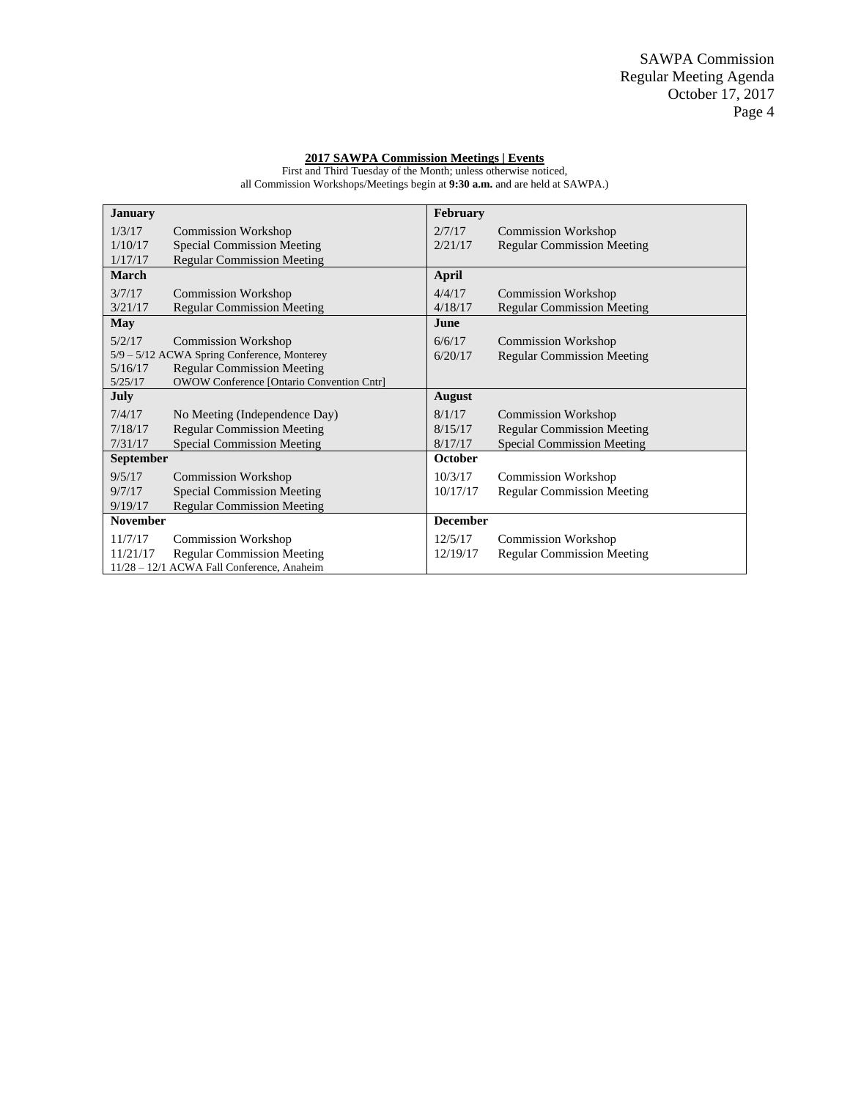#### **2017 SAWPA Commission Meetings | Events**

First and Third Tuesday of the Month; unless otherwise noticed, all Commission Workshops/Meetings begin at **9:30 a.m.** and are held at SAWPA.)

| <b>January</b>                              |                                                  | February        |                                   |
|---------------------------------------------|--------------------------------------------------|-----------------|-----------------------------------|
| 1/3/17                                      | <b>Commission Workshop</b>                       | 2/7/17          | <b>Commission Workshop</b>        |
| 1/10/17                                     | <b>Special Commission Meeting</b>                | 2/21/17         | <b>Regular Commission Meeting</b> |
| 1/17/17                                     | <b>Regular Commission Meeting</b>                |                 |                                   |
| <b>March</b>                                |                                                  | April           |                                   |
| 3/7/17                                      | <b>Commission Workshop</b>                       | 4/4/17          | <b>Commission Workshop</b>        |
| 3/21/17                                     | <b>Regular Commission Meeting</b>                | 4/18/17         | <b>Regular Commission Meeting</b> |
| May                                         |                                                  | June            |                                   |
| 5/2/17                                      | <b>Commission Workshop</b>                       | 6/6/17          | <b>Commission Workshop</b>        |
| 5/9 - 5/12 ACWA Spring Conference, Monterey |                                                  | 6/20/17         | <b>Regular Commission Meeting</b> |
| 5/16/17                                     | <b>Regular Commission Meeting</b>                |                 |                                   |
| 5/25/17                                     | <b>OWOW Conference [Ontario Convention Cntr]</b> |                 |                                   |
|                                             |                                                  |                 |                                   |
| <b>July</b>                                 |                                                  | August          |                                   |
| 7/4/17                                      | No Meeting (Independence Day)                    | 8/1/17          | <b>Commission Workshop</b>        |
| 7/18/17                                     | <b>Regular Commission Meeting</b>                | 8/15/17         | <b>Regular Commission Meeting</b> |
| 7/31/17                                     | <b>Special Commission Meeting</b>                | 8/17/17         | <b>Special Commission Meeting</b> |
| <b>September</b>                            |                                                  | October         |                                   |
| 9/5/17                                      | <b>Commission Workshop</b>                       | 10/3/17         | <b>Commission Workshop</b>        |
| 9/7/17                                      | <b>Special Commission Meeting</b>                | 10/17/17        | <b>Regular Commission Meeting</b> |
| 9/19/17                                     | <b>Regular Commission Meeting</b>                |                 |                                   |
| <b>November</b>                             |                                                  | <b>December</b> |                                   |
| 11/7/17                                     | <b>Commission Workshop</b>                       | 12/5/17         | <b>Commission Workshop</b>        |
| 11/21/17                                    | <b>Regular Commission Meeting</b>                | 12/19/17        | <b>Regular Commission Meeting</b> |